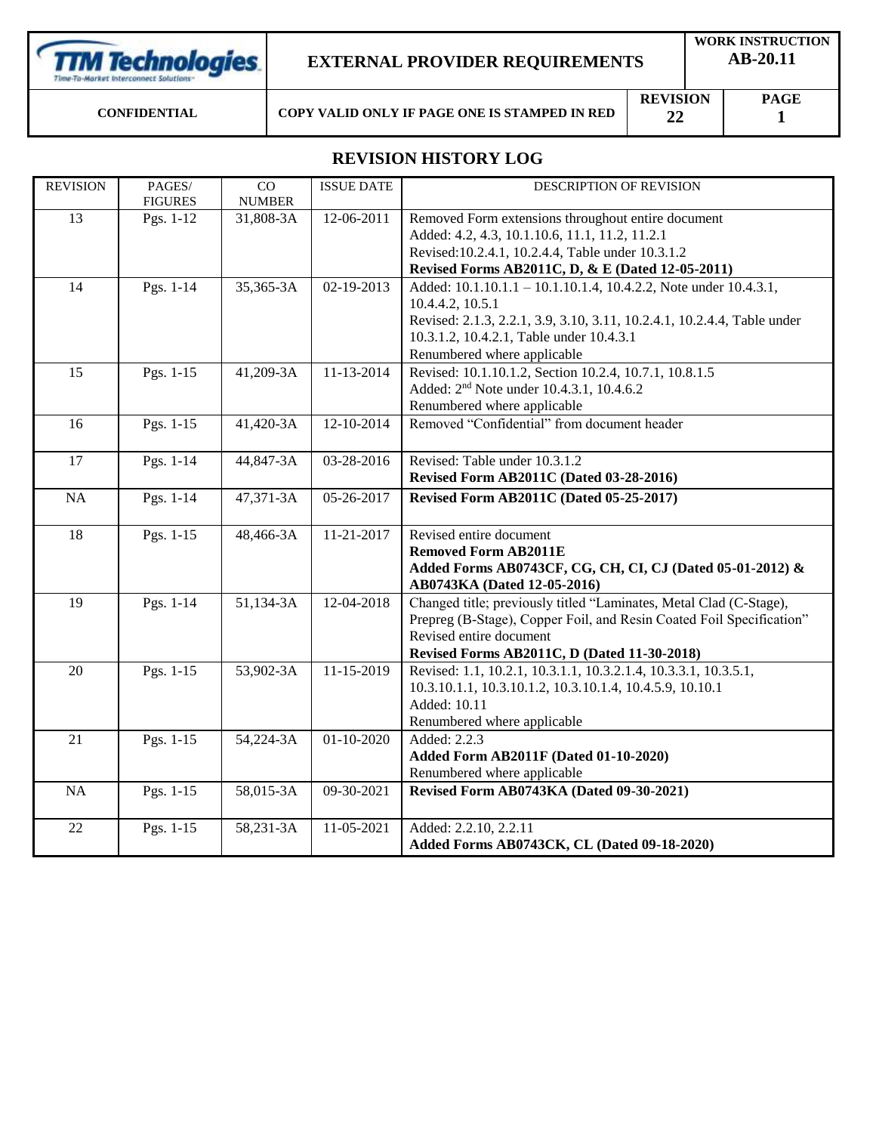**TTM Technologies** 

### **EXTERNAL PROVIDER REQUIREMENTS**

**CONFIDENTIAL COPY VALID ONLY IF PAGE ONE IS STAMPED IN RED**

**REVISION 22**

**PAGE 1**

# **REVISION HISTORY LOG**

| <b>REVISION</b> | PAGES/<br><b>FIGURES</b> | CO<br><b>NUMBER</b> | <b>ISSUE DATE</b> | DESCRIPTION OF REVISION                                                 |
|-----------------|--------------------------|---------------------|-------------------|-------------------------------------------------------------------------|
| 13              | Pgs. 1-12                | 31,808-3A           | 12-06-2011        | Removed Form extensions throughout entire document                      |
|                 |                          |                     |                   | Added: 4.2, 4.3, 10.1.10.6, 11.1, 11.2, 11.2.1                          |
|                 |                          |                     |                   | Revised: 10.2.4.1, 10.2.4.4, Table under 10.3.1.2                       |
|                 |                          |                     |                   | Revised Forms AB2011C, D, & E (Dated 12-05-2011)                        |
| 14              | Pgs. 1-14                | 35,365-3A           | 02-19-2013        | Added: 10.1.10.1.1 - 10.1.10.1.4, 10.4.2.2, Note under 10.4.3.1,        |
|                 |                          |                     |                   | 10.4.4.2, 10.5.1                                                        |
|                 |                          |                     |                   | Revised: 2.1.3, 2.2.1, 3.9, 3.10, 3.11, 10.2.4.1, 10.2.4.4, Table under |
|                 |                          |                     |                   | 10.3.1.2, 10.4.2.1, Table under 10.4.3.1                                |
|                 |                          |                     |                   | Renumbered where applicable                                             |
| 15              | Pgs. 1-15                | 41,209-3A           | 11-13-2014        | Revised: 10.1.10.1.2, Section 10.2.4, 10.7.1, 10.8.1.5                  |
|                 |                          |                     |                   | Added: 2 <sup>nd</sup> Note under 10.4.3.1, 10.4.6.2                    |
|                 |                          |                     |                   | Renumbered where applicable                                             |
| 16              | Pgs. 1-15                | 41,420-3A           | 12-10-2014        | Removed "Confidential" from document header                             |
|                 |                          |                     |                   |                                                                         |
| 17              | Pgs. 1-14                | 44,847-3A           | 03-28-2016        | Revised: Table under 10.3.1.2                                           |
|                 |                          |                     |                   | Revised Form AB2011C (Dated 03-28-2016)                                 |
| $\rm NA$        | Pgs. 1-14                | 47,371-3A           | 05-26-2017        | Revised Form AB2011C (Dated 05-25-2017)                                 |
|                 |                          |                     |                   |                                                                         |
| 18              | Pgs. 1-15                | 48,466-3A           | 11-21-2017        | Revised entire document                                                 |
|                 |                          |                     |                   | <b>Removed Form AB2011E</b>                                             |
|                 |                          |                     |                   | Added Forms AB0743CF, CG, CH, CI, CJ (Dated 05-01-2012) &               |
|                 |                          |                     |                   | AB0743KA (Dated 12-05-2016)                                             |
| 19              | Pgs. 1-14                | 51,134-3A           | 12-04-2018        | Changed title; previously titled "Laminates, Metal Clad (C-Stage),      |
|                 |                          |                     |                   | Prepreg (B-Stage), Copper Foil, and Resin Coated Foil Specification"    |
|                 |                          |                     |                   | Revised entire document                                                 |
|                 |                          |                     |                   | Revised Forms AB2011C, D (Dated 11-30-2018)                             |
| 20              | Pgs. 1-15                | 53,902-3A           | 11-15-2019        | Revised: 1.1, 10.2.1, 10.3.1.1, 10.3.2.1.4, 10.3.3.1, 10.3.5.1,         |
|                 |                          |                     |                   | 10.3.10.1.1, 10.3.10.1.2, 10.3.10.1.4, 10.4.5.9, 10.10.1                |
|                 |                          |                     |                   | Added: 10.11                                                            |
|                 |                          |                     |                   | Renumbered where applicable                                             |
| 21              | Pgs. 1-15                | 54,224-3A           | $01 - 10 - 2020$  | Added: 2.2.3                                                            |
|                 |                          |                     |                   | Added Form AB2011F (Dated 01-10-2020)                                   |
|                 |                          |                     |                   | Renumbered where applicable                                             |
| NA              | Pgs. 1-15                | 58,015-3A           | 09-30-2021        | Revised Form AB0743KA (Dated 09-30-2021)                                |
| 22              | Pgs. 1-15                | 58,231-3A           | 11-05-2021        | Added: 2.2.10, 2.2.11                                                   |
|                 |                          |                     |                   | Added Forms AB0743CK, CL (Dated 09-18-2020)                             |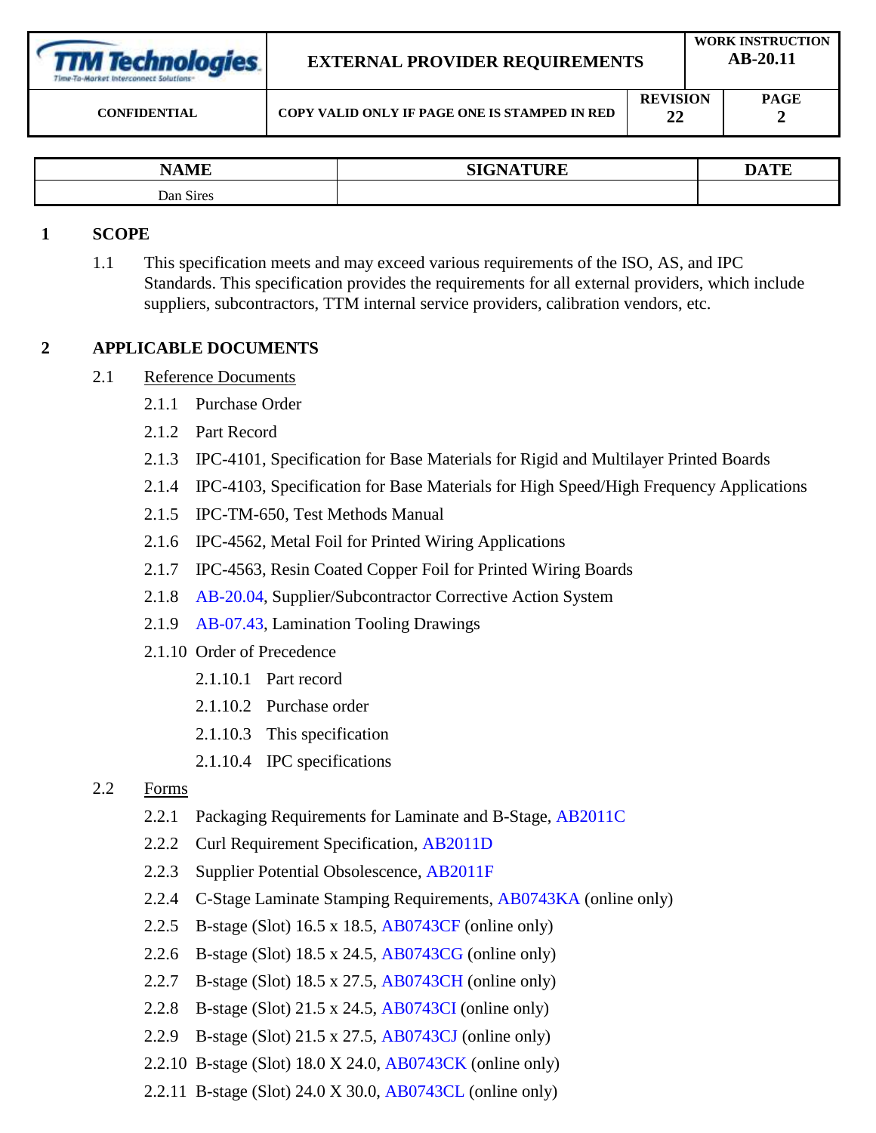| <b>TTM Technologies</b> |  |
|-------------------------|--|
|                         |  |
|                         |  |

# **EXTERNAL PROVIDER REQUIREMENTS**

**22**

| $\bf{MT}$<br>N٨                                 | <b>CIONATILIDE</b><br>510<br>UNL | <b>DATE</b> |
|-------------------------------------------------|----------------------------------|-------------|
| $\sim$<br>$\mathbf{D}$ an<br>S <sub>1</sub> res |                                  |             |

### **1 SCOPE**

1.1 This specification meets and may exceed various requirements of the ISO, AS, and IPC Standards. This specification provides the requirements for all external providers, which include suppliers, subcontractors, TTM internal service providers, calibration vendors, etc.

### **2 APPLICABLE DOCUMENTS**

- 2.1 Reference Documents
	- 2.1.1 Purchase Order
	- 2.1.2 Part Record
	- 2.1.3 IPC-4101, Specification for Base Materials for Rigid and Multilayer Printed Boards
	- 2.1.4 IPC-4103, Specification for Base Materials for High Speed/High Frequency Applications
	- 2.1.5 IPC-TM-650, Test Methods Manual
	- 2.1.6 IPC-4562, Metal Foil for Printed Wiring Applications
	- 2.1.7 IPC-4563, Resin Coated Copper Foil for Printed Wiring Boards
	- 2.1.8 [AB-20.04,](AB-20.04/AB2004.doc) Supplier/Subcontractor Corrective Action System
	- 2.1.9 [AB-07.43,](AB-07.43/AB0743.doc) Lamination Tooling Drawings
	- 2.1.10 Order of Precedence
		- 2.1.10.1 Part record
		- 2.1.10.2 Purchase order
		- 2.1.10.3 This specification
		- 2.1.10.4 IPC specifications
- 2.2 Forms
	- 2.2.1 Packaging Requirements for Laminate and B-Stage, [AB2011C](AB-20.11/AB2011C.doc)
	- 2.2.2 Curl Requirement Specification, [AB2011D](AB-20.11/AB2011D.doc)
	- 2.2.3 Supplier Potential Obsolescence, [AB2011F](file://///ttmtech.local/CFFS/VOL4/Share/DOCS/Work%20Instruction/AB-20.11/AB2011F.docx)
	- 2.2.4 C-Stage Laminate Stamping Requirements, [AB0743KA](file://///ttmtech.local/cffs/vol4/Share/DOCS/Work%20Instruction/AB-07.43/AB0743KA.pdf) (online only)
	- 2.2.5 B-stage (Slot) 16.5 x 18.5, [AB0743CF](file://///ttmtech.local/cffs/vol4/Share/DOCS/Work%20Instruction/AB-07.43/AB0743CF.pdf) (online only)
	- 2.2.6 B-stage (Slot) 18.5 x 24.5, [AB0743CG](file://///ttmtech.local/cffs/vol4/Share/DOCS/Work%20Instruction/AB-07.43/AB0743CG.pdf) (online only)
	- 2.2.7 B-stage (Slot) 18.5 x 27.5, [AB0743CH](file://///ttmtech.local/cffs/vol4/Share/DOCS/Work%20Instruction/AB-07.43/AB0743CH.pdf) (online only)
	- 2.2.8 B-stage (Slot) 21.5 x 24.5, [AB0743CI](file://///ttmtech.local/cffs/vol4/Share/DOCS/Work%20Instruction/AB-07.43/AB0743CI.pdf) (online only)
	- 2.2.9 B-stage (Slot) 21.5 x 27.5, [AB0743CJ](file://///ttmtech.local/cffs/vol4/Share/DOCS/Work%20Instruction/AB-07.43/AB0743CJ.pdf) (online only)
	- 2.2.10 B-stage (Slot) 18.0 X 24.0, [AB0743CK](file://///ttmtech.local/CFFS/VOL4/Share/DOCS/Work%20Instruction/AB-07.43/AB0743CK.pdf) (online only)
	- 2.2.11 B-stage (Slot) 24.0 X 30.0, [AB0743CL](file://///ttmtech.local/CFFS/VOL4/Share/DOCS/Work%20Instruction/AB-07.43/AB0743CL.pdf) (online only)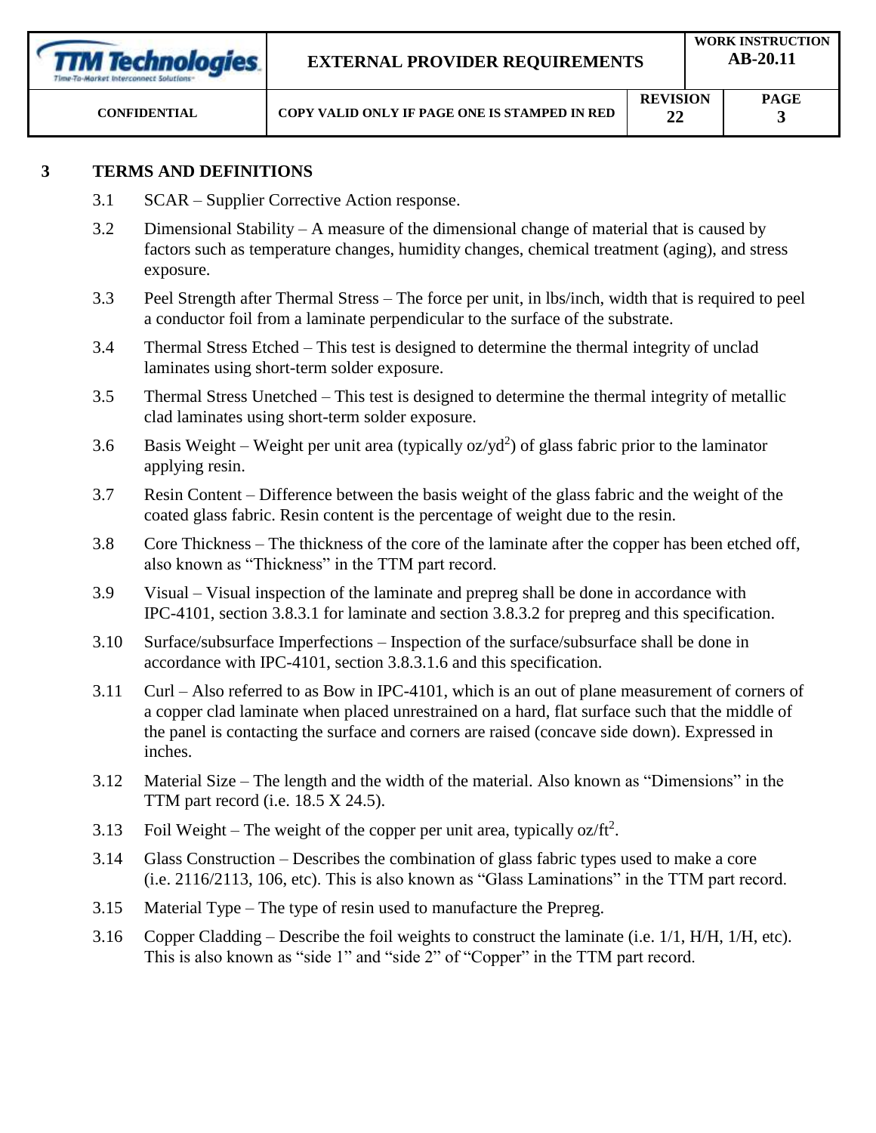| <b>TTM Technologies</b><br>Time-To-Market Interconnect Solutions- | <b>EXTERNAL PROVIDER REQUIREMENTS</b>         |                       | <b>WORK INSTRUCTION</b><br>AB-20.11 |  |  |
|-------------------------------------------------------------------|-----------------------------------------------|-----------------------|-------------------------------------|--|--|
| <b>CONFIDENTIAL</b>                                               | COPY VALID ONLY IF PAGE ONE IS STAMPED IN RED | <b>REVISION</b><br>22 | <b>PAGE</b>                         |  |  |

### **3 TERMS AND DEFINITIONS**

- 3.1 SCAR Supplier Corrective Action response.
- 3.2 Dimensional Stability A measure of the dimensional change of material that is caused by factors such as temperature changes, humidity changes, chemical treatment (aging), and stress exposure.
- 3.3 Peel Strength after Thermal Stress The force per unit, in lbs/inch, width that is required to peel a conductor foil from a laminate perpendicular to the surface of the substrate.
- 3.4 Thermal Stress Etched This test is designed to determine the thermal integrity of unclad laminates using short-term solder exposure.
- 3.5 Thermal Stress Unetched This test is designed to determine the thermal integrity of metallic clad laminates using short-term solder exposure.
- 3.6 Basis Weight Weight per unit area (typically  $oz/yd^2$ ) of glass fabric prior to the laminator applying resin.
- 3.7 Resin Content Difference between the basis weight of the glass fabric and the weight of the coated glass fabric. Resin content is the percentage of weight due to the resin.
- 3.8 Core Thickness The thickness of the core of the laminate after the copper has been etched off, also known as "Thickness" in the TTM part record.
- 3.9 Visual Visual inspection of the laminate and prepreg shall be done in accordance with IPC-4101, section 3.8.3.1 for laminate and section 3.8.3.2 for prepreg and this specification.
- 3.10 Surface/subsurface Imperfections Inspection of the surface/subsurface shall be done in accordance with IPC-4101, section 3.8.3.1.6 and this specification.
- 3.11 Curl Also referred to as Bow in IPC-4101, which is an out of plane measurement of corners of a copper clad laminate when placed unrestrained on a hard, flat surface such that the middle of the panel is contacting the surface and corners are raised (concave side down). Expressed in inches.
- 3.12 Material Size The length and the width of the material. Also known as "Dimensions" in the TTM part record (i.e. 18.5 X 24.5).
- 3.13 Foil Weight The weight of the copper per unit area, typically oz/ft<sup>2</sup>.
- 3.14 Glass Construction Describes the combination of glass fabric types used to make a core (i.e. 2116/2113, 106, etc). This is also known as "Glass Laminations" in the TTM part record.
- 3.15 Material Type The type of resin used to manufacture the Prepreg.
- 3.16 Copper Cladding Describe the foil weights to construct the laminate (i.e. 1/1, H/H, 1/H, etc). This is also known as "side 1" and "side 2" of "Copper" in the TTM part record.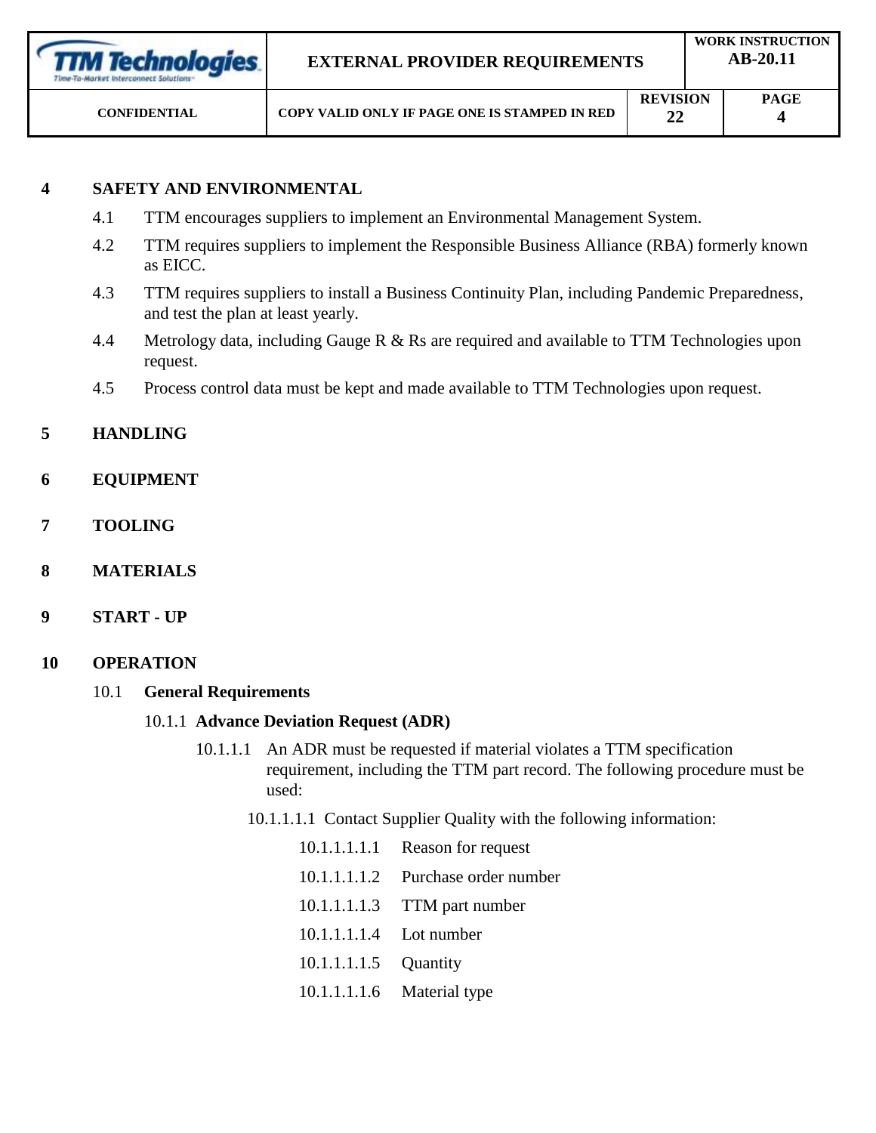| <b>TTM Technologies</b><br>Time-To-Market Interconnect Solutions: | <b>EXTERNAL PROVIDER REQUIREMENTS</b>         | <b>WORK INSTRUCTION</b><br>$AB-20.11$ |  |             |
|-------------------------------------------------------------------|-----------------------------------------------|---------------------------------------|--|-------------|
| <b>CONFIDENTIAL</b>                                               | COPY VALID ONLY IF PAGE ONE IS STAMPED IN RED | <b>REVISION</b><br>22                 |  | <b>PAGE</b> |

# **4 SAFETY AND ENVIRONMENTAL**

- 4.1 TTM encourages suppliers to implement an Environmental Management System.
- 4.2 TTM requires suppliers to implement the Responsible Business Alliance (RBA) formerly known as EICC.
- 4.3 TTM requires suppliers to install a Business Continuity Plan, including Pandemic Preparedness, and test the plan at least yearly.
- 4.4 Metrology data, including Gauge R & Rs are required and available to TTM Technologies upon request.
- 4.5 Process control data must be kept and made available to TTM Technologies upon request.

# **5 HANDLING**

- **6 EQUIPMENT**
- **7 TOOLING**
- **8 MATERIALS**
- **9 START - UP**
- **10 OPERATION**

### 10.1 **General Requirements**

### 10.1.1 **Advance Deviation Request (ADR)**

- 10.1.1.1 An ADR must be requested if material violates a TTM specification requirement, including the TTM part record. The following procedure must be used:
	- 10.1.1.1.1 Contact Supplier Quality with the following information:

|                         | 10.1.1.1.1.1 Reason for request    |
|-------------------------|------------------------------------|
|                         | 10.1.1.1.1.2 Purchase order number |
|                         | 10.1.1.1.1.3 TTM part number       |
| 10.1.1.1.1.4 Lot number |                                    |
| 10.1.1.1.1.5 Quantity   |                                    |
|                         | 10.1.1.1.1.6 Material type         |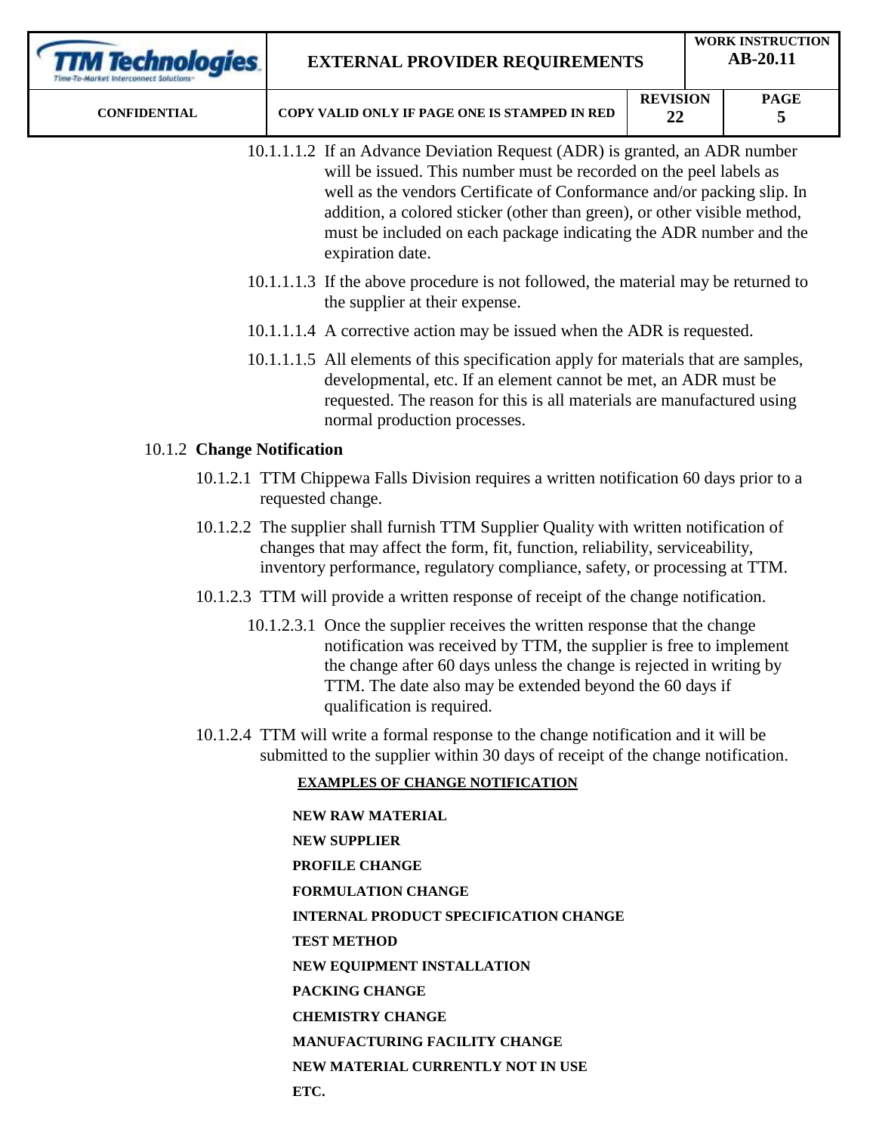| <b>TM Technologies</b>     | <b>WORK INSTRUCTION</b><br>AB-20.11<br><b>EXTERNAL PROVIDER REQUIREMENTS</b> |                                                                                                                                                                                                                                                                                                                                                                                                  |                       |  |                  |
|----------------------------|------------------------------------------------------------------------------|--------------------------------------------------------------------------------------------------------------------------------------------------------------------------------------------------------------------------------------------------------------------------------------------------------------------------------------------------------------------------------------------------|-----------------------|--|------------------|
| <b>CONFIDENTIAL</b>        |                                                                              | COPY VALID ONLY IF PAGE ONE IS STAMPED IN RED                                                                                                                                                                                                                                                                                                                                                    | <b>REVISION</b><br>22 |  | <b>PAGE</b><br>5 |
|                            |                                                                              | 10.1.1.1.2 If an Advance Deviation Request (ADR) is granted, an ADR number<br>will be issued. This number must be recorded on the peel labels as<br>well as the vendors Certificate of Conformance and/or packing slip. In<br>addition, a colored sticker (other than green), or other visible method,<br>must be included on each package indicating the ADR number and the<br>expiration date. |                       |  |                  |
|                            |                                                                              | 10.1.1.1.3 If the above procedure is not followed, the material may be returned to<br>the supplier at their expense.                                                                                                                                                                                                                                                                             |                       |  |                  |
|                            |                                                                              | 10.1.1.1.4 A corrective action may be issued when the ADR is requested.                                                                                                                                                                                                                                                                                                                          |                       |  |                  |
|                            |                                                                              | 10.1.1.1.5 All elements of this specification apply for materials that are samples,<br>developmental, etc. If an element cannot be met, an ADR must be<br>requested. The reason for this is all materials are manufactured using<br>normal production processes.                                                                                                                                 |                       |  |                  |
| 10.1.2 Change Notification |                                                                              |                                                                                                                                                                                                                                                                                                                                                                                                  |                       |  |                  |
|                            |                                                                              | 10.1.2.1 TTM Chippewa Falls Division requires a written notification 60 days prior to a<br>requested change.                                                                                                                                                                                                                                                                                     |                       |  |                  |
|                            |                                                                              | 10.1.2.2 The supplier shall furnish TTM Supplier Quality with written notification of<br>changes that may affect the form, fit, function, reliability, serviceability,<br>inventory performance, regulatory compliance, safety, or processing at TTM.                                                                                                                                            |                       |  |                  |
|                            |                                                                              | 10.1.2.3 TTM will provide a written response of receipt of the change notification.                                                                                                                                                                                                                                                                                                              |                       |  |                  |
|                            |                                                                              | 10.1.2.3.1 Once the supplier receives the written response that the change<br>notification was received by TTM, the supplier is free to implement<br>the change after 60 days unless the change is rejected in writing by<br>TTM. The date also may be extended beyond the 60 days if<br>qualification is required.                                                                              |                       |  |                  |
|                            |                                                                              | 10.1.2.4 TTM will write a formal response to the change notification and it will be<br>submitted to the supplier within 30 days of receipt of the change notification.                                                                                                                                                                                                                           |                       |  |                  |
|                            |                                                                              | <b>EXAMPLES OF CHANGE NOTIFICATION</b>                                                                                                                                                                                                                                                                                                                                                           |                       |  |                  |
|                            |                                                                              | <b>NEW RAW MATERIAL</b>                                                                                                                                                                                                                                                                                                                                                                          |                       |  |                  |
|                            |                                                                              | <b>NEW SUPPLIER</b>                                                                                                                                                                                                                                                                                                                                                                              |                       |  |                  |
|                            |                                                                              | PROFILE CHANGE                                                                                                                                                                                                                                                                                                                                                                                   |                       |  |                  |
|                            |                                                                              | <b>FORMULATION CHANGE</b>                                                                                                                                                                                                                                                                                                                                                                        |                       |  |                  |
|                            |                                                                              | <b>INTERNAL PRODUCT SPECIFICATION CHANGE</b>                                                                                                                                                                                                                                                                                                                                                     |                       |  |                  |
|                            |                                                                              | <b>TEST METHOD</b>                                                                                                                                                                                                                                                                                                                                                                               |                       |  |                  |
|                            |                                                                              | NEW EQUIPMENT INSTALLATION                                                                                                                                                                                                                                                                                                                                                                       |                       |  |                  |
|                            |                                                                              | PACKING CHANGE                                                                                                                                                                                                                                                                                                                                                                                   |                       |  |                  |
|                            |                                                                              | <b>CHEMISTRY CHANGE</b>                                                                                                                                                                                                                                                                                                                                                                          |                       |  |                  |
|                            |                                                                              | MANUFACTURING FACILITY CHANGE                                                                                                                                                                                                                                                                                                                                                                    |                       |  |                  |

**NEW MATERIAL CURRENTLY NOT IN USE**

**ETC.**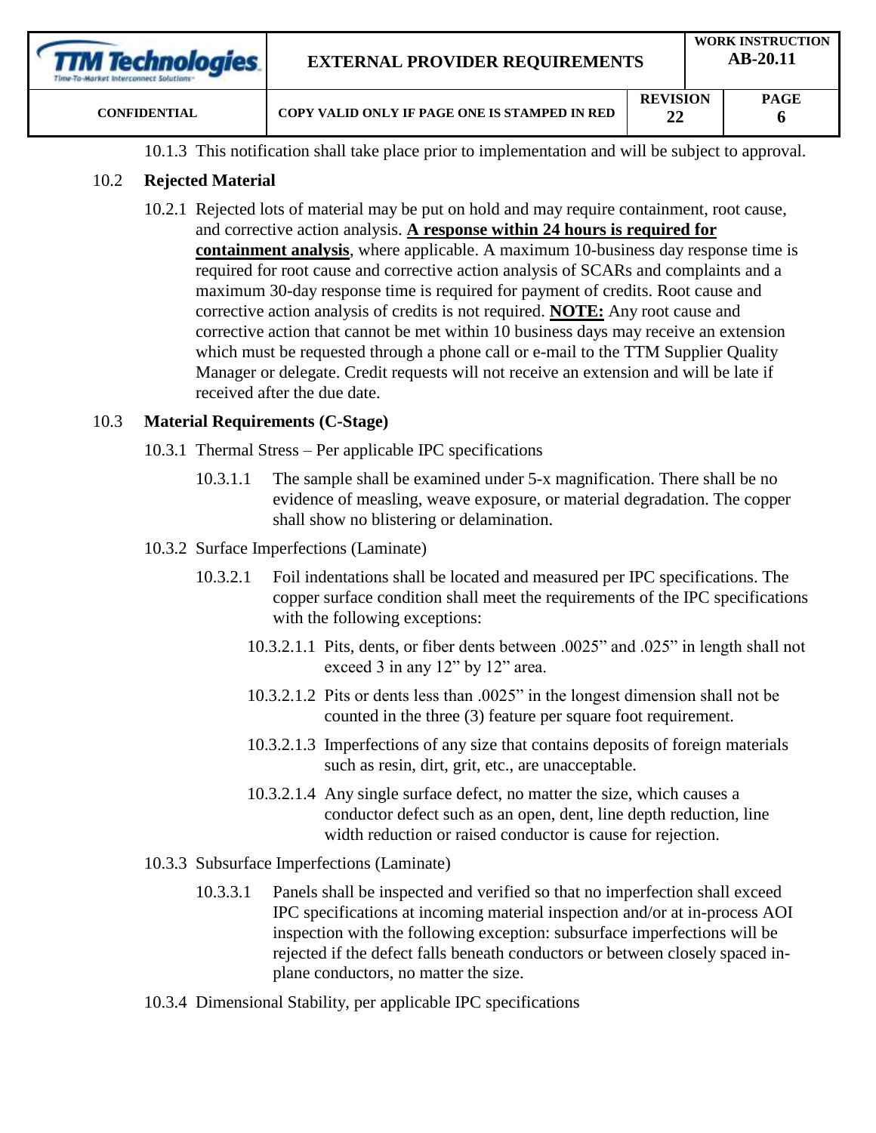| <b>TTM Technologies</b><br>Time-To-Market Interconnect Solutions | <b>EXTERNAL PROVIDER REQUIREMENTS</b>         | <b>WORK INSTRUCTION</b><br>$AB-20.11$ |  |             |
|------------------------------------------------------------------|-----------------------------------------------|---------------------------------------|--|-------------|
| <b>CONFIDENTIAL</b>                                              | COPY VALID ONLY IF PAGE ONE IS STAMPED IN RED | <b>REVISION</b><br>22                 |  | <b>PAGE</b> |

10.1.3 This notification shall take place prior to implementation and will be subject to approval.

### 10.2 **Rejected Material**

10.2.1 Rejected lots of material may be put on hold and may require containment, root cause, and corrective action analysis. **A response within 24 hours is required for containment analysis**, where applicable. A maximum 10-business day response time is required for root cause and corrective action analysis of SCARs and complaints and a maximum 30-day response time is required for payment of credits. Root cause and corrective action analysis of credits is not required. **NOTE:** Any root cause and corrective action that cannot be met within 10 business days may receive an extension which must be requested through a phone call or e-mail to the TTM Supplier Quality Manager or delegate. Credit requests will not receive an extension and will be late if received after the due date.

### 10.3 **Material Requirements (C-Stage)**

- 10.3.1 Thermal Stress Per applicable IPC specifications
	- 10.3.1.1 The sample shall be examined under 5-x magnification. There shall be no evidence of measling, weave exposure, or material degradation. The copper shall show no blistering or delamination.
- 10.3.2 Surface Imperfections (Laminate)
	- 10.3.2.1 Foil indentations shall be located and measured per IPC specifications. The copper surface condition shall meet the requirements of the IPC specifications with the following exceptions:
		- 10.3.2.1.1 Pits, dents, or fiber dents between .0025" and .025" in length shall not exceed 3 in any 12" by 12" area.
		- 10.3.2.1.2 Pits or dents less than .0025" in the longest dimension shall not be counted in the three (3) feature per square foot requirement.
		- 10.3.2.1.3 Imperfections of any size that contains deposits of foreign materials such as resin, dirt, grit, etc., are unacceptable.
		- 10.3.2.1.4 Any single surface defect, no matter the size, which causes a conductor defect such as an open, dent, line depth reduction, line width reduction or raised conductor is cause for rejection.
- 10.3.3 Subsurface Imperfections (Laminate)
	- 10.3.3.1 Panels shall be inspected and verified so that no imperfection shall exceed IPC specifications at incoming material inspection and/or at in-process AOI inspection with the following exception: subsurface imperfections will be rejected if the defect falls beneath conductors or between closely spaced inplane conductors, no matter the size.
- 10.3.4 Dimensional Stability, per applicable IPC specifications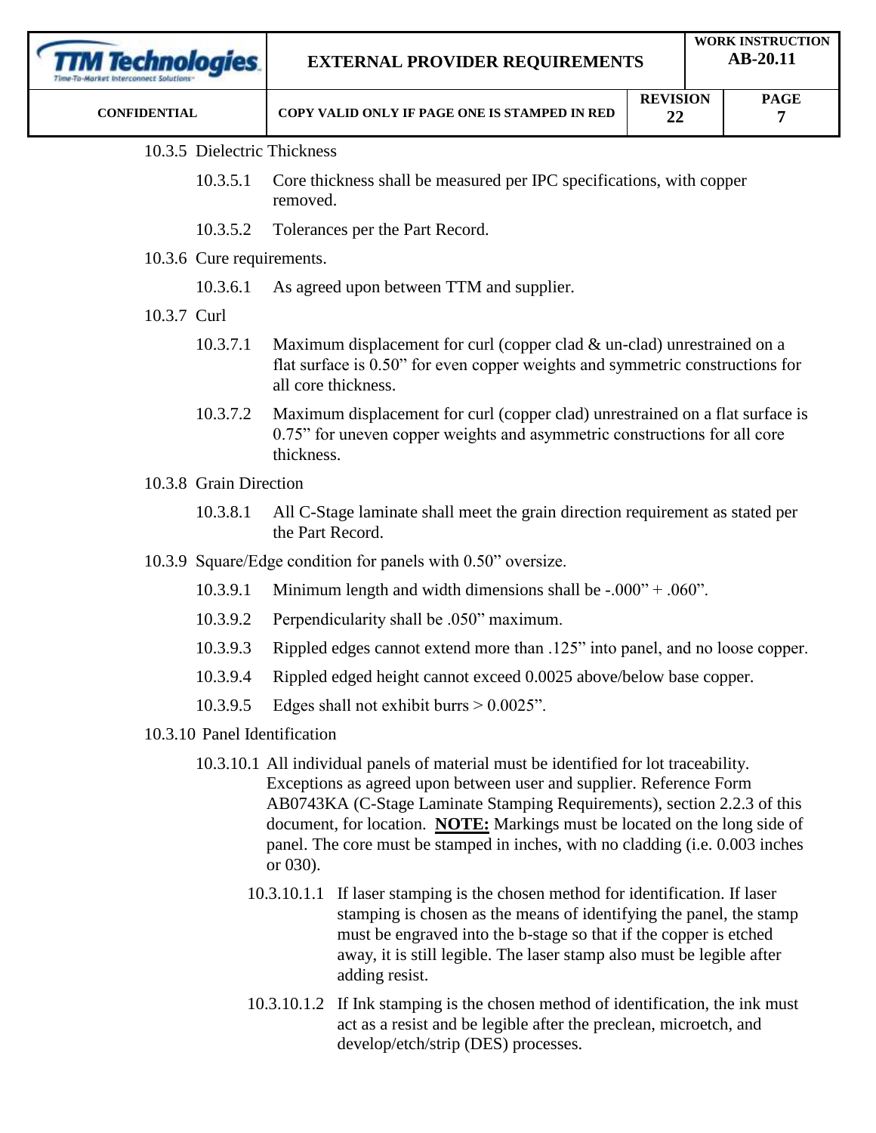| rechnologies.               | <b>WORK INSTRUCTION</b><br>AB-20.11<br><b>EXTERNAL PROVIDER REQUIREMENTS</b>                                                                                                       |  |                  |  |
|-----------------------------|------------------------------------------------------------------------------------------------------------------------------------------------------------------------------------|--|------------------|--|
| <b>CONFIDENTIAL</b>         | <b>REVISION</b><br>COPY VALID ONLY IF PAGE ONE IS STAMPED IN RED<br>22                                                                                                             |  | <b>PAGE</b><br>7 |  |
| 10.3.5 Dielectric Thickness |                                                                                                                                                                                    |  |                  |  |
| 10.3.5.1                    | Core thickness shall be measured per IPC specifications, with copper<br>removed.                                                                                                   |  |                  |  |
| 10.3.5.2                    | Tolerances per the Part Record.                                                                                                                                                    |  |                  |  |
| 10.3.6 Cure requirements.   |                                                                                                                                                                                    |  |                  |  |
| 10.3.6.1                    | As agreed upon between TTM and supplier.                                                                                                                                           |  |                  |  |
| 10.3.7 Curl                 |                                                                                                                                                                                    |  |                  |  |
| 10.3.7.1                    | Maximum displacement for curl (copper clad $\&$ un-clad) unrestrained on a<br>flat surface is 0.50" for even copper weights and symmetric constructions for<br>all core thickness. |  |                  |  |
| 10.3.7.2                    | Maximum displacement for curl (copper clad) unrestrained on a flat surface is<br>0.75" for uneven copper weights and asymmetric constructions for all core<br>thickness.           |  |                  |  |

- 10.3.8.1 All C-Stage laminate shall meet the grain direction requirement as stated per the Part Record.
- 10.3.9 Square/Edge condition for panels with 0.50" oversize.
	- 10.3.9.1 Minimum length and width dimensions shall be  $-.000" + .060"$ .
	- 10.3.9.2 Perpendicularity shall be .050" maximum.
	- 10.3.9.3 Rippled edges cannot extend more than .125" into panel, and no loose copper.
	- 10.3.9.4 Rippled edged height cannot exceed 0.0025 above/below base copper.
	- 10.3.9.5 Edges shall not exhibit burrs > 0.0025".
- 10.3.10 Panel Identification
	- 10.3.10.1 All individual panels of material must be identified for lot traceability. Exceptions as agreed upon between user and supplier. Reference Form AB0743KA (C-Stage Laminate Stamping Requirements), section 2.2.3 of this document, for location. **NOTE:** Markings must be located on the long side of panel. The core must be stamped in inches, with no cladding (i.e. 0.003 inches or 030).
		- 10.3.10.1.1 If laser stamping is the chosen method for identification. If laser stamping is chosen as the means of identifying the panel, the stamp must be engraved into the b-stage so that if the copper is etched away, it is still legible. The laser stamp also must be legible after adding resist.
		- 10.3.10.1.2 If Ink stamping is the chosen method of identification, the ink must act as a resist and be legible after the preclean, microetch, and develop/etch/strip (DES) processes.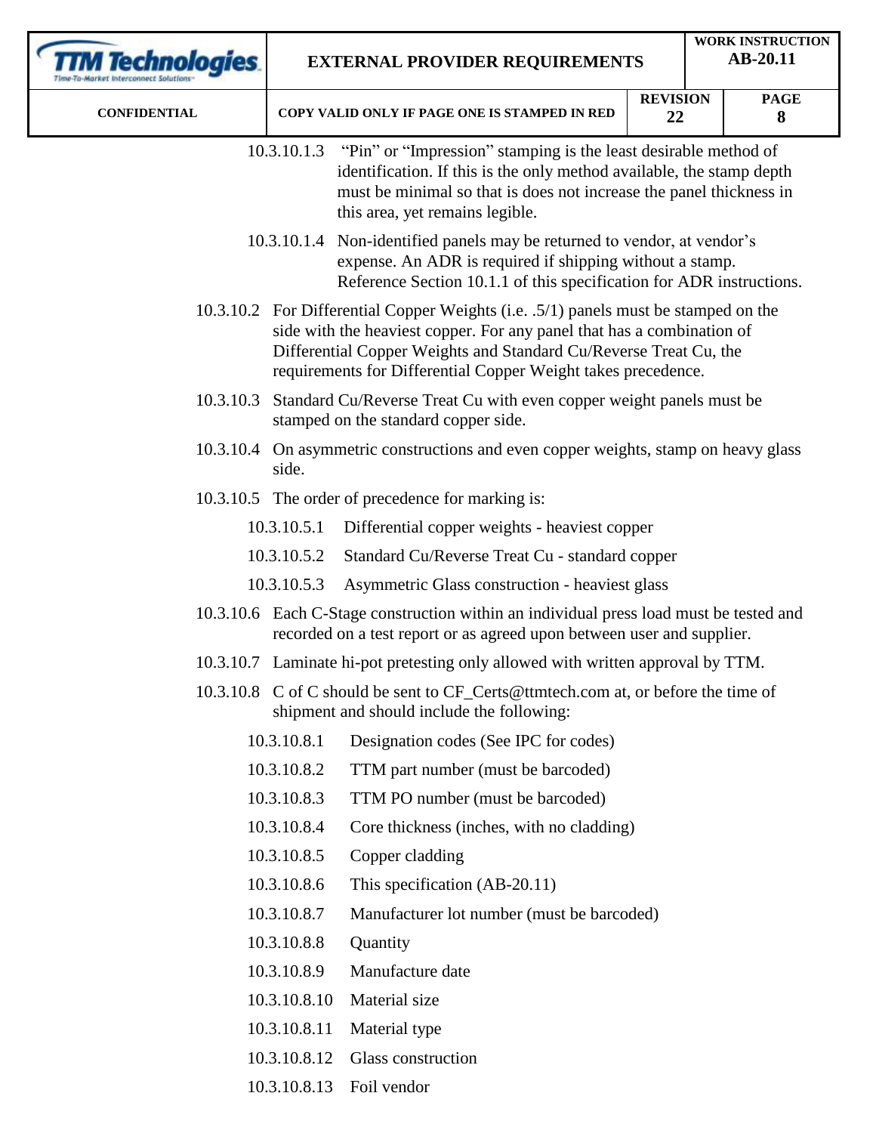| <b>TM Technologies</b> | <b>EXTERNAL PROVIDER REQUIREMENTS</b> |                                                                                                                                                                                                                                                                                                     |                       |  | <b>WORK INSTRUCTION</b><br>AB-20.11 |  |  |
|------------------------|---------------------------------------|-----------------------------------------------------------------------------------------------------------------------------------------------------------------------------------------------------------------------------------------------------------------------------------------------------|-----------------------|--|-------------------------------------|--|--|
| <b>CONFIDENTIAL</b>    |                                       | COPY VALID ONLY IF PAGE ONE IS STAMPED IN RED                                                                                                                                                                                                                                                       | <b>REVISION</b><br>22 |  | <b>PAGE</b><br>8                    |  |  |
|                        | 10.3.10.1.3                           | "Pin" or "Impression" stamping is the least desirable method of<br>identification. If this is the only method available, the stamp depth<br>must be minimal so that is does not increase the panel thickness in<br>this area, yet remains legible.                                                  |                       |  |                                     |  |  |
|                        |                                       | 10.3.10.1.4 Non-identified panels may be returned to vendor, at vendor's<br>expense. An ADR is required if shipping without a stamp.<br>Reference Section 10.1.1 of this specification for ADR instructions.                                                                                        |                       |  |                                     |  |  |
|                        |                                       | 10.3.10.2 For Differential Copper Weights (i.e. .5/1) panels must be stamped on the<br>side with the heaviest copper. For any panel that has a combination of<br>Differential Copper Weights and Standard Cu/Reverse Treat Cu, the<br>requirements for Differential Copper Weight takes precedence. |                       |  |                                     |  |  |
| 10.3.10.3              |                                       | Standard Cu/Reverse Treat Cu with even copper weight panels must be<br>stamped on the standard copper side.                                                                                                                                                                                         |                       |  |                                     |  |  |
|                        | side.                                 | 10.3.10.4 On asymmetric constructions and even copper weights, stamp on heavy glass                                                                                                                                                                                                                 |                       |  |                                     |  |  |
|                        |                                       | 10.3.10.5 The order of precedence for marking is:                                                                                                                                                                                                                                                   |                       |  |                                     |  |  |
|                        | 10.3.10.5.1                           | Differential copper weights - heaviest copper                                                                                                                                                                                                                                                       |                       |  |                                     |  |  |
|                        | 10.3.10.5.2                           | Standard Cu/Reverse Treat Cu - standard copper                                                                                                                                                                                                                                                      |                       |  |                                     |  |  |
|                        | 10.3.10.5.3                           | Asymmetric Glass construction - heaviest glass                                                                                                                                                                                                                                                      |                       |  |                                     |  |  |
|                        |                                       | 10.3.10.6 Each C-Stage construction within an individual press load must be tested and<br>recorded on a test report or as agreed upon between user and supplier.                                                                                                                                    |                       |  |                                     |  |  |
|                        |                                       | 10.3.10.7 Laminate hi-pot pretesting only allowed with written approval by TTM.                                                                                                                                                                                                                     |                       |  |                                     |  |  |
|                        |                                       | 10.3.10.8 C of C should be sent to CF_Certs@ttmtech.com at, or before the time of<br>shipment and should include the following:                                                                                                                                                                     |                       |  |                                     |  |  |
|                        | 10.3.10.8.1                           | Designation codes (See IPC for codes)                                                                                                                                                                                                                                                               |                       |  |                                     |  |  |
|                        | 10.3.10.8.2                           | TTM part number (must be barcoded)                                                                                                                                                                                                                                                                  |                       |  |                                     |  |  |
|                        | 10.3.10.8.3                           | TTM PO number (must be barcoded)                                                                                                                                                                                                                                                                    |                       |  |                                     |  |  |
|                        | 10.3.10.8.4                           | Core thickness (inches, with no cladding)                                                                                                                                                                                                                                                           |                       |  |                                     |  |  |
|                        | 10.3.10.8.5                           | Copper cladding                                                                                                                                                                                                                                                                                     |                       |  |                                     |  |  |
|                        | 10.3.10.8.6                           | This specification (AB-20.11)                                                                                                                                                                                                                                                                       |                       |  |                                     |  |  |
|                        | 10.3.10.8.7                           | Manufacturer lot number (must be barcoded)                                                                                                                                                                                                                                                          |                       |  |                                     |  |  |
|                        | 10.3.10.8.8                           | Quantity                                                                                                                                                                                                                                                                                            |                       |  |                                     |  |  |
|                        | 10.3.10.8.9                           | Manufacture date                                                                                                                                                                                                                                                                                    |                       |  |                                     |  |  |
|                        | 10.3.10.8.10                          | Material size                                                                                                                                                                                                                                                                                       |                       |  |                                     |  |  |
|                        | 10.3.10.8.11                          | Material type                                                                                                                                                                                                                                                                                       |                       |  |                                     |  |  |
|                        | 10.3.10.8.12                          | Glass construction                                                                                                                                                                                                                                                                                  |                       |  |                                     |  |  |
|                        |                                       | 10.3.10.8.13 Foil vendor                                                                                                                                                                                                                                                                            |                       |  |                                     |  |  |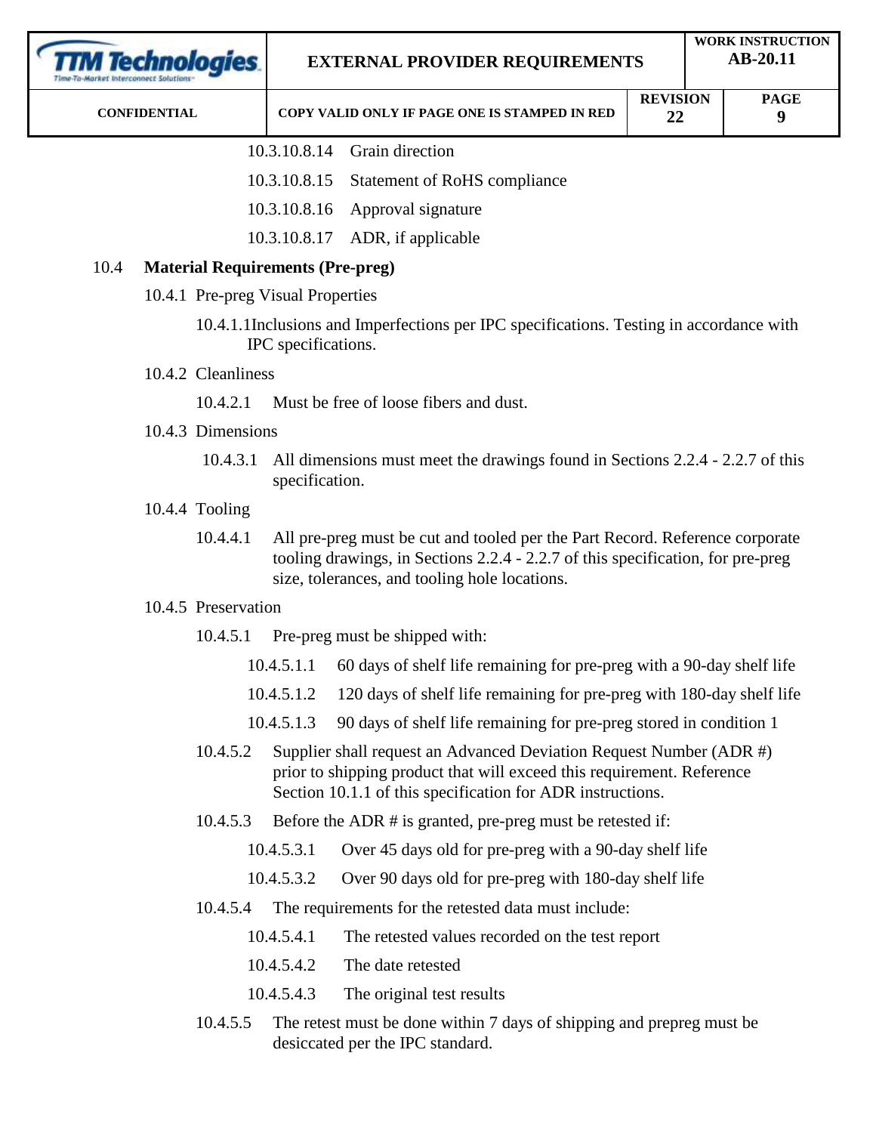| <i><b>fechnologies</b></i> |                     |                                         |                                                                                     | <b>EXTERNAL PROVIDER REQUIREMENTS</b>                                                                                                                                                                            |                       |  | <b>WORK INSTRUCTION</b><br>AB-20.11 |  |  |
|----------------------------|---------------------|-----------------------------------------|-------------------------------------------------------------------------------------|------------------------------------------------------------------------------------------------------------------------------------------------------------------------------------------------------------------|-----------------------|--|-------------------------------------|--|--|
|                            | <b>CONFIDENTIAL</b> |                                         |                                                                                     | COPY VALID ONLY IF PAGE ONE IS STAMPED IN RED                                                                                                                                                                    | <b>REVISION</b><br>22 |  | <b>PAGE</b><br>9                    |  |  |
|                            |                     |                                         |                                                                                     | 10.3.10.8.14 Grain direction                                                                                                                                                                                     |                       |  |                                     |  |  |
|                            |                     |                                         | 10.3.10.8.15                                                                        | <b>Statement of RoHS compliance</b>                                                                                                                                                                              |                       |  |                                     |  |  |
|                            |                     |                                         | 10.3.10.8.16                                                                        | Approval signature                                                                                                                                                                                               |                       |  |                                     |  |  |
|                            |                     |                                         | 10.3.10.8.17                                                                        | ADR, if applicable                                                                                                                                                                                               |                       |  |                                     |  |  |
| 10.4                       |                     | <b>Material Requirements (Pre-preg)</b> |                                                                                     |                                                                                                                                                                                                                  |                       |  |                                     |  |  |
|                            |                     | 10.4.1 Pre-preg Visual Properties       |                                                                                     |                                                                                                                                                                                                                  |                       |  |                                     |  |  |
|                            |                     |                                         | IPC specifications.                                                                 | 10.4.1.1Inclusions and Imperfections per IPC specifications. Testing in accordance with                                                                                                                          |                       |  |                                     |  |  |
|                            |                     | 10.4.2 Cleanliness                      |                                                                                     |                                                                                                                                                                                                                  |                       |  |                                     |  |  |
|                            | 10.4.2.1            |                                         |                                                                                     | Must be free of loose fibers and dust.                                                                                                                                                                           |                       |  |                                     |  |  |
|                            |                     | 10.4.3 Dimensions                       |                                                                                     |                                                                                                                                                                                                                  |                       |  |                                     |  |  |
|                            | 10.4.3.1            |                                         |                                                                                     | All dimensions must meet the drawings found in Sections 2.2.4 - 2.2.7 of this<br>specification.                                                                                                                  |                       |  |                                     |  |  |
|                            |                     | 10.4.4 Tooling                          |                                                                                     |                                                                                                                                                                                                                  |                       |  |                                     |  |  |
|                            |                     | 10.4.4.1                                |                                                                                     | All pre-preg must be cut and tooled per the Part Record. Reference corporate<br>tooling drawings, in Sections 2.2.4 - 2.2.7 of this specification, for pre-preg<br>size, tolerances, and tooling hole locations. |                       |  |                                     |  |  |
|                            |                     | 10.4.5 Preservation                     |                                                                                     |                                                                                                                                                                                                                  |                       |  |                                     |  |  |
|                            |                     | 10.4.5.1                                |                                                                                     | Pre-preg must be shipped with:                                                                                                                                                                                   |                       |  |                                     |  |  |
|                            |                     |                                         | 60 days of shelf life remaining for pre-preg with a 90-day shelf life<br>10.4.5.1.1 |                                                                                                                                                                                                                  |                       |  |                                     |  |  |
|                            |                     |                                         | 10.4.5.1.2                                                                          | 120 days of shelf life remaining for pre-preg with 180-day shelf life                                                                                                                                            |                       |  |                                     |  |  |
|                            |                     |                                         | 10.4.5.1.3                                                                          | 90 days of shelf life remaining for pre-preg stored in condition 1                                                                                                                                               |                       |  |                                     |  |  |
|                            |                     | 10.4.5.2                                |                                                                                     | Supplier shall request an Advanced Deviation Request Number (ADR #)<br>prior to shipping product that will exceed this requirement. Reference<br>Section 10.1.1 of this specification for ADR instructions.      |                       |  |                                     |  |  |
|                            |                     | 10.4.5.3                                |                                                                                     | Before the ADR $\#$ is granted, pre-preg must be retested if:                                                                                                                                                    |                       |  |                                     |  |  |
|                            |                     |                                         | 10.4.5.3.1                                                                          | Over 45 days old for pre-preg with a 90-day shelf life                                                                                                                                                           |                       |  |                                     |  |  |
|                            |                     |                                         | 10.4.5.3.2                                                                          | Over 90 days old for pre-preg with 180-day shelf life                                                                                                                                                            |                       |  |                                     |  |  |
|                            |                     | 10.4.5.4                                |                                                                                     | The requirements for the retested data must include:                                                                                                                                                             |                       |  |                                     |  |  |
|                            |                     |                                         | 10.4.5.4.1                                                                          | The retested values recorded on the test report                                                                                                                                                                  |                       |  |                                     |  |  |
|                            |                     |                                         | 10.4.5.4.2                                                                          | The date retested                                                                                                                                                                                                |                       |  |                                     |  |  |
|                            |                     |                                         | 10.4.5.4.3                                                                          | The original test results                                                                                                                                                                                        |                       |  |                                     |  |  |
|                            |                     |                                         |                                                                                     |                                                                                                                                                                                                                  |                       |  |                                     |  |  |

10.4.5.5 The retest must be done within 7 days of shipping and prepreg must be desiccated per the IPC standard.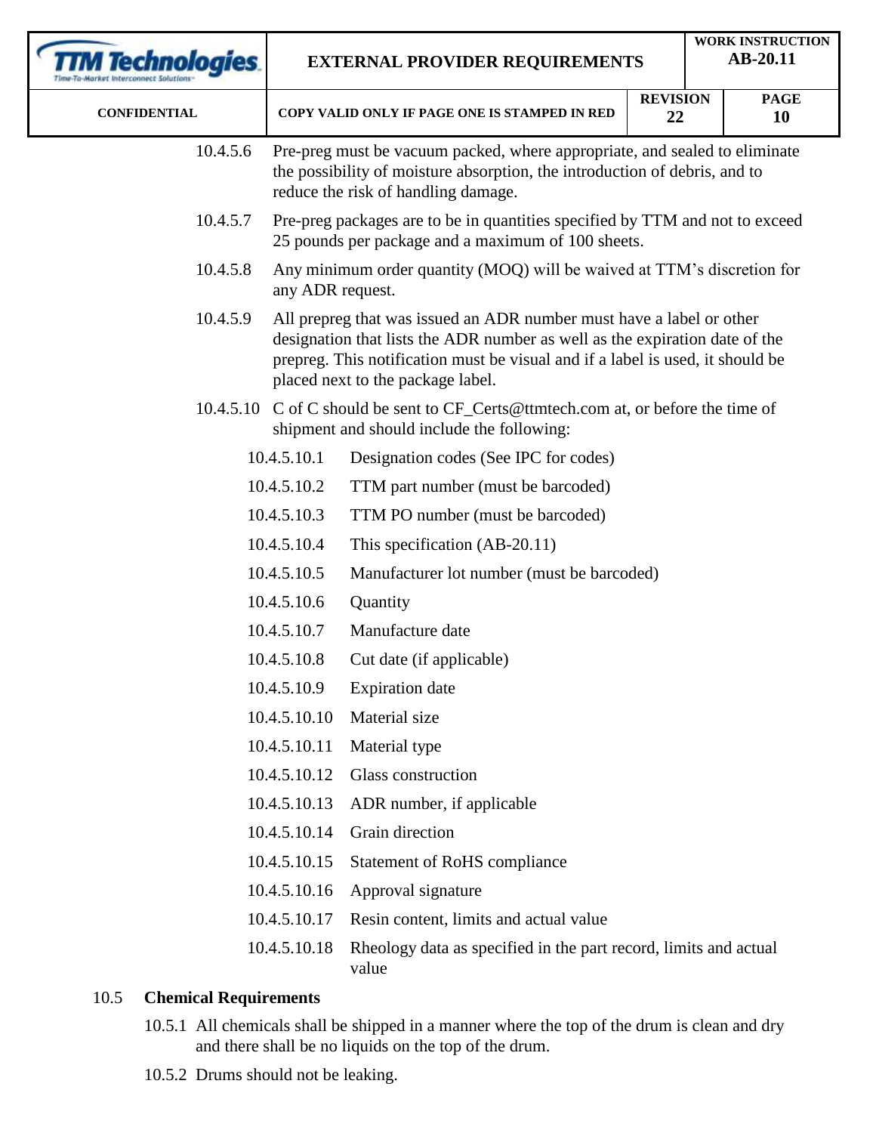| TM Technologies.                     |              | <b>EXTERNAL PROVIDER REQUIREMENTS</b>                                                                                                                                                                                                                                      |                       |  | <b>WORK INSTRUCTION</b><br>AB-20.11 |  |  |
|--------------------------------------|--------------|----------------------------------------------------------------------------------------------------------------------------------------------------------------------------------------------------------------------------------------------------------------------------|-----------------------|--|-------------------------------------|--|--|
| <b>CONFIDENTIAL</b>                  |              | COPY VALID ONLY IF PAGE ONE IS STAMPED IN RED                                                                                                                                                                                                                              | <b>REVISION</b><br>22 |  | <b>PAGE</b><br>10                   |  |  |
| 10.4.5.6                             |              | Pre-preg must be vacuum packed, where appropriate, and sealed to eliminate<br>the possibility of moisture absorption, the introduction of debris, and to<br>reduce the risk of handling damage.                                                                            |                       |  |                                     |  |  |
| 10.4.5.7                             |              | Pre-preg packages are to be in quantities specified by TTM and not to exceed<br>25 pounds per package and a maximum of 100 sheets.                                                                                                                                         |                       |  |                                     |  |  |
| 10.4.5.8                             |              | Any minimum order quantity (MOQ) will be waived at TTM's discretion for<br>any ADR request.                                                                                                                                                                                |                       |  |                                     |  |  |
| 10.4.5.9                             |              | All prepreg that was issued an ADR number must have a label or other<br>designation that lists the ADR number as well as the expiration date of the<br>prepreg. This notification must be visual and if a label is used, it should be<br>placed next to the package label. |                       |  |                                     |  |  |
|                                      |              | 10.4.5.10 C of C should be sent to CF_Certs@ttmtech.com at, or before the time of<br>shipment and should include the following:                                                                                                                                            |                       |  |                                     |  |  |
|                                      | 10.4.5.10.1  | Designation codes (See IPC for codes)                                                                                                                                                                                                                                      |                       |  |                                     |  |  |
|                                      | 10.4.5.10.2  | TTM part number (must be barcoded)                                                                                                                                                                                                                                         |                       |  |                                     |  |  |
|                                      | 10.4.5.10.3  | TTM PO number (must be barcoded)                                                                                                                                                                                                                                           |                       |  |                                     |  |  |
|                                      | 10.4.5.10.4  | This specification (AB-20.11)                                                                                                                                                                                                                                              |                       |  |                                     |  |  |
|                                      | 10.4.5.10.5  | Manufacturer lot number (must be barcoded)                                                                                                                                                                                                                                 |                       |  |                                     |  |  |
|                                      | 10.4.5.10.6  | Quantity                                                                                                                                                                                                                                                                   |                       |  |                                     |  |  |
|                                      | 10.4.5.10.7  | Manufacture date                                                                                                                                                                                                                                                           |                       |  |                                     |  |  |
|                                      | 10.4.5.10.8  | Cut date (if applicable)                                                                                                                                                                                                                                                   |                       |  |                                     |  |  |
|                                      | 10.4.5.10.9  | <b>Expiration</b> date                                                                                                                                                                                                                                                     |                       |  |                                     |  |  |
|                                      | 10.4.5.10.10 | Material size                                                                                                                                                                                                                                                              |                       |  |                                     |  |  |
|                                      | 10.4.5.10.11 | Material type                                                                                                                                                                                                                                                              |                       |  |                                     |  |  |
|                                      | 10.4.5.10.12 | Glass construction                                                                                                                                                                                                                                                         |                       |  |                                     |  |  |
|                                      | 10.4.5.10.13 | ADR number, if applicable                                                                                                                                                                                                                                                  |                       |  |                                     |  |  |
|                                      | 10.4.5.10.14 | Grain direction                                                                                                                                                                                                                                                            |                       |  |                                     |  |  |
|                                      | 10.4.5.10.15 | <b>Statement of RoHS compliance</b>                                                                                                                                                                                                                                        |                       |  |                                     |  |  |
|                                      | 10.4.5.10.16 | Approval signature                                                                                                                                                                                                                                                         |                       |  |                                     |  |  |
|                                      | 10.4.5.10.17 | Resin content, limits and actual value                                                                                                                                                                                                                                     |                       |  |                                     |  |  |
|                                      | 10.4.5.10.18 | Rheology data as specified in the part record, limits and actual<br>value                                                                                                                                                                                                  |                       |  |                                     |  |  |
| <b>Chemical Requirements</b><br>10.5 |              |                                                                                                                                                                                                                                                                            |                       |  |                                     |  |  |

- 10.5.1 All chemicals shall be shipped in a manner where the top of the drum is clean and dry and there shall be no liquids on the top of the drum.
- 10.5.2 Drums should not be leaking.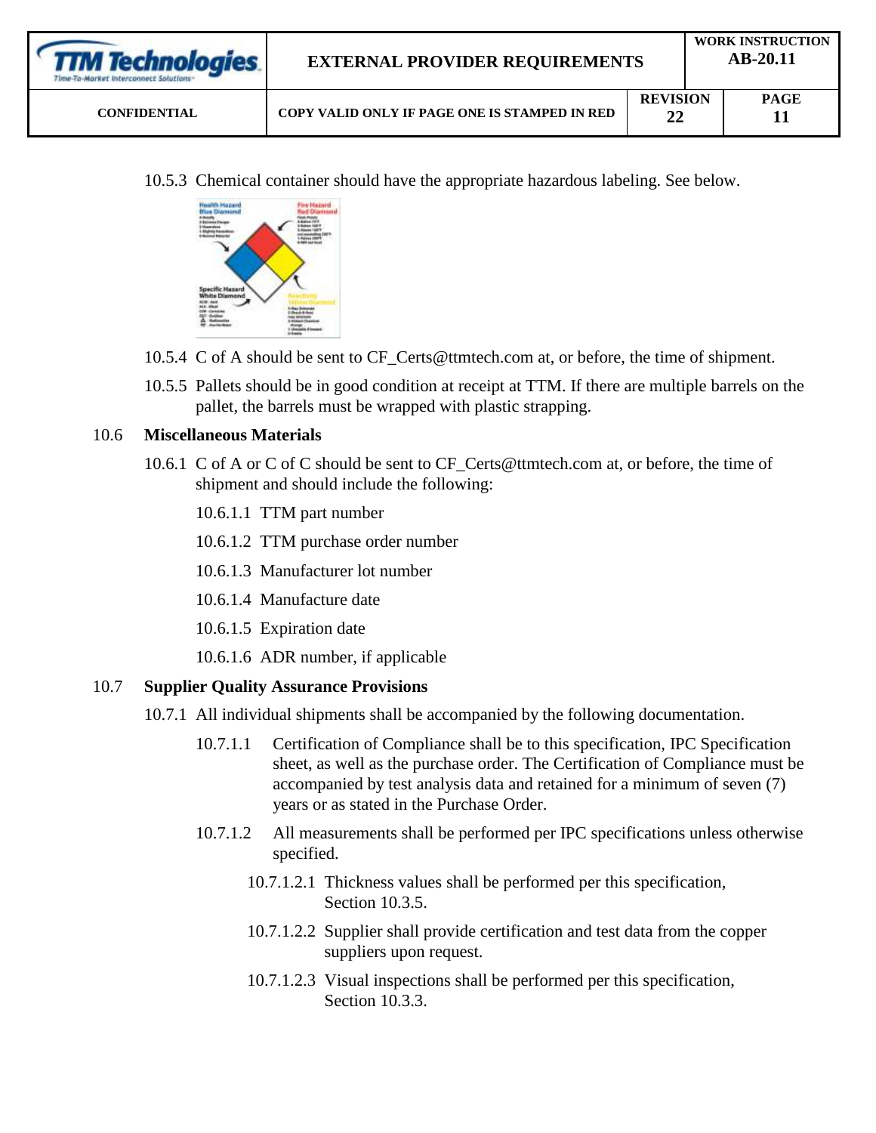| <b>TTM Technologies</b><br>Time-To-Market Interconnect Solutions: | <b>EXTERNAL PROVIDER REQUIREMENTS</b>         |                       |  | <b>WORK INSTRUCTION</b><br>$AB-20.11$ |  |  |
|-------------------------------------------------------------------|-----------------------------------------------|-----------------------|--|---------------------------------------|--|--|
| <b>CONFIDENTIAL</b>                                               | COPY VALID ONLY IF PAGE ONE IS STAMPED IN RED | <b>REVISION</b><br>22 |  | <b>PAGE</b>                           |  |  |

10.5.3 Chemical container should have the appropriate hazardous labeling. See below.



- 10.5.4 C of A should be sent to CF\_Certs@ttmtech.com at, or before, the time of shipment.
- 10.5.5 Pallets should be in good condition at receipt at TTM. If there are multiple barrels on the pallet, the barrels must be wrapped with plastic strapping.

### 10.6 **Miscellaneous Materials**

- 10.6.1 C of A or C of C should be sent to CF\_Certs@ttmtech.com at, or before, the time of shipment and should include the following:
	- 10.6.1.1 TTM part number
	- 10.6.1.2 TTM purchase order number
	- 10.6.1.3 Manufacturer lot number
	- 10.6.1.4 Manufacture date
	- 10.6.1.5 Expiration date
	- 10.6.1.6 ADR number, if applicable

# 10.7 **Supplier Quality Assurance Provisions**

- 10.7.1 All individual shipments shall be accompanied by the following documentation.
	- 10.7.1.1 Certification of Compliance shall be to this specification, IPC Specification sheet, as well as the purchase order. The Certification of Compliance must be accompanied by test analysis data and retained for a minimum of seven (7) years or as stated in the Purchase Order.
	- 10.7.1.2 All measurements shall be performed per IPC specifications unless otherwise specified.
		- 10.7.1.2.1 Thickness values shall be performed per this specification, Section 10.3.5.
		- 10.7.1.2.2 Supplier shall provide certification and test data from the copper suppliers upon request.
		- 10.7.1.2.3 Visual inspections shall be performed per this specification, Section 10.3.3.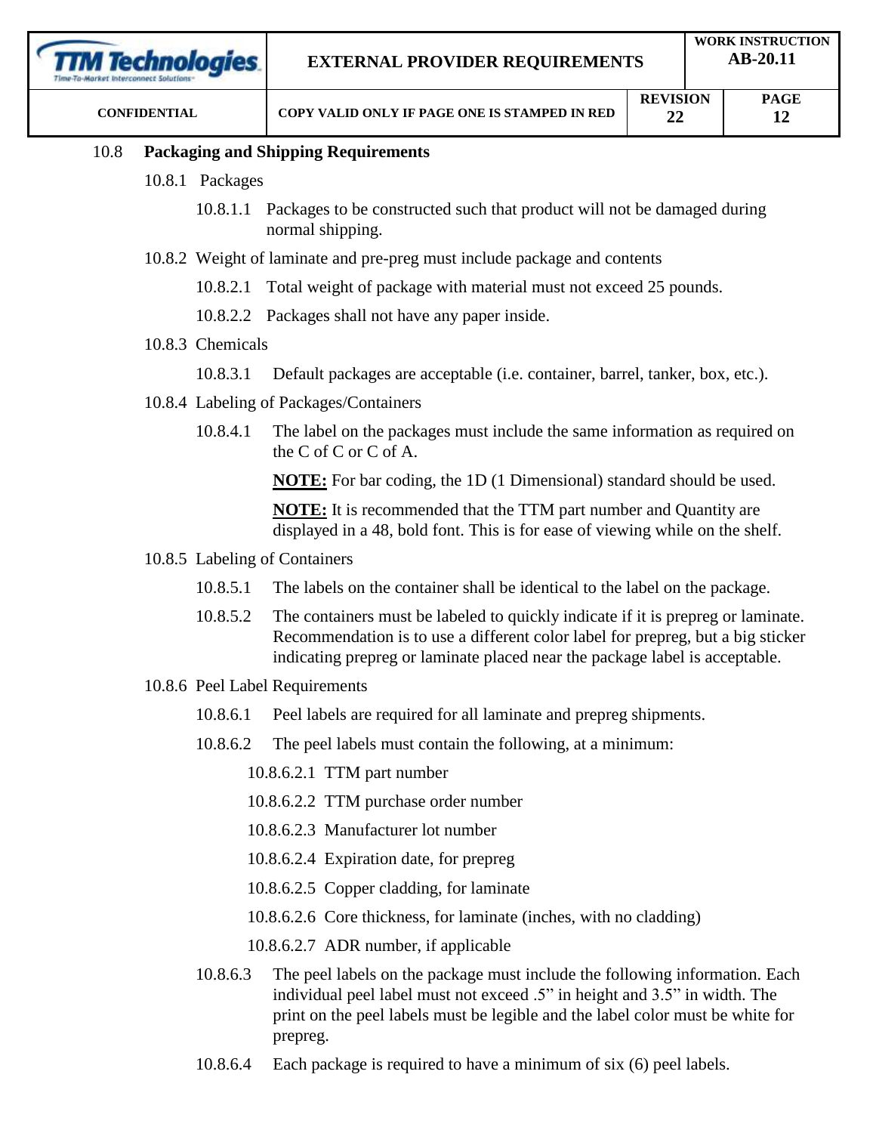| <b>TM Technologies</b> |          |                  | <b>EXTERNAL PROVIDER REQUIREMENTS</b>                                                                                                                                                                                                                   |                       | <b>WORK INSTRUCTION</b><br>AB-20.11 |                   |  |
|------------------------|----------|------------------|---------------------------------------------------------------------------------------------------------------------------------------------------------------------------------------------------------------------------------------------------------|-----------------------|-------------------------------------|-------------------|--|
| <b>CONFIDENTIAL</b>    |          |                  | COPY VALID ONLY IF PAGE ONE IS STAMPED IN RED                                                                                                                                                                                                           | <b>REVISION</b><br>22 |                                     | <b>PAGE</b><br>12 |  |
| 10.8                   |          |                  | <b>Packaging and Shipping Requirements</b>                                                                                                                                                                                                              |                       |                                     |                   |  |
|                        |          | 10.8.1 Packages  |                                                                                                                                                                                                                                                         |                       |                                     |                   |  |
|                        |          |                  | 10.8.1.1 Packages to be constructed such that product will not be damaged during<br>normal shipping.                                                                                                                                                    |                       |                                     |                   |  |
|                        |          |                  | 10.8.2 Weight of laminate and pre-preg must include package and contents                                                                                                                                                                                |                       |                                     |                   |  |
|                        |          | 10.8.2.1         | Total weight of package with material must not exceed 25 pounds.                                                                                                                                                                                        |                       |                                     |                   |  |
|                        |          |                  | 10.8.2.2 Packages shall not have any paper inside.                                                                                                                                                                                                      |                       |                                     |                   |  |
|                        |          | 10.8.3 Chemicals |                                                                                                                                                                                                                                                         |                       |                                     |                   |  |
|                        |          | 10.8.3.1         | Default packages are acceptable (i.e. container, barrel, tanker, box, etc.).                                                                                                                                                                            |                       |                                     |                   |  |
|                        |          |                  | 10.8.4 Labeling of Packages/Containers                                                                                                                                                                                                                  |                       |                                     |                   |  |
|                        | 10.8.4.1 |                  | The label on the packages must include the same information as required on<br>the C of C or C of A.                                                                                                                                                     |                       |                                     |                   |  |
|                        |          |                  | <b>NOTE:</b> For bar coding, the 1D (1 Dimensional) standard should be used.                                                                                                                                                                            |                       |                                     |                   |  |
|                        |          |                  | <b>NOTE:</b> It is recommended that the TTM part number and Quantity are<br>displayed in a 48, bold font. This is for ease of viewing while on the shelf.                                                                                               |                       |                                     |                   |  |
|                        |          |                  | 10.8.5 Labeling of Containers                                                                                                                                                                                                                           |                       |                                     |                   |  |
|                        |          | 10.8.5.1         | The labels on the container shall be identical to the label on the package.                                                                                                                                                                             |                       |                                     |                   |  |
|                        |          | 10.8.5.2         | The containers must be labeled to quickly indicate if it is prepreg or laminate.<br>Recommendation is to use a different color label for prepreg, but a big sticker<br>indicating prepreg or laminate placed near the package label is acceptable.      |                       |                                     |                   |  |
|                        |          |                  | 10.8.6 Peel Label Requirements                                                                                                                                                                                                                          |                       |                                     |                   |  |
|                        |          | 10.8.6.1         | Peel labels are required for all laminate and prepreg shipments.                                                                                                                                                                                        |                       |                                     |                   |  |
|                        |          | 10.8.6.2         | The peel labels must contain the following, at a minimum:                                                                                                                                                                                               |                       |                                     |                   |  |
|                        |          |                  | 10.8.6.2.1 TTM part number                                                                                                                                                                                                                              |                       |                                     |                   |  |
|                        |          |                  | 10.8.6.2.2 TTM purchase order number                                                                                                                                                                                                                    |                       |                                     |                   |  |
|                        |          |                  | 10.8.6.2.3 Manufacturer lot number                                                                                                                                                                                                                      |                       |                                     |                   |  |
|                        |          |                  | 10.8.6.2.4 Expiration date, for prepreg                                                                                                                                                                                                                 |                       |                                     |                   |  |
|                        |          |                  | 10.8.6.2.5 Copper cladding, for laminate                                                                                                                                                                                                                |                       |                                     |                   |  |
|                        |          |                  | 10.8.6.2.6 Core thickness, for laminate (inches, with no cladding)                                                                                                                                                                                      |                       |                                     |                   |  |
|                        |          |                  | 10.8.6.2.7 ADR number, if applicable                                                                                                                                                                                                                    |                       |                                     |                   |  |
|                        |          | 10.8.6.3         | The peel labels on the package must include the following information. Each<br>individual peel label must not exceed .5" in height and 3.5" in width. The<br>print on the peel labels must be legible and the label color must be white for<br>prepreg. |                       |                                     |                   |  |

10.8.6.4 Each package is required to have a minimum of six (6) peel labels.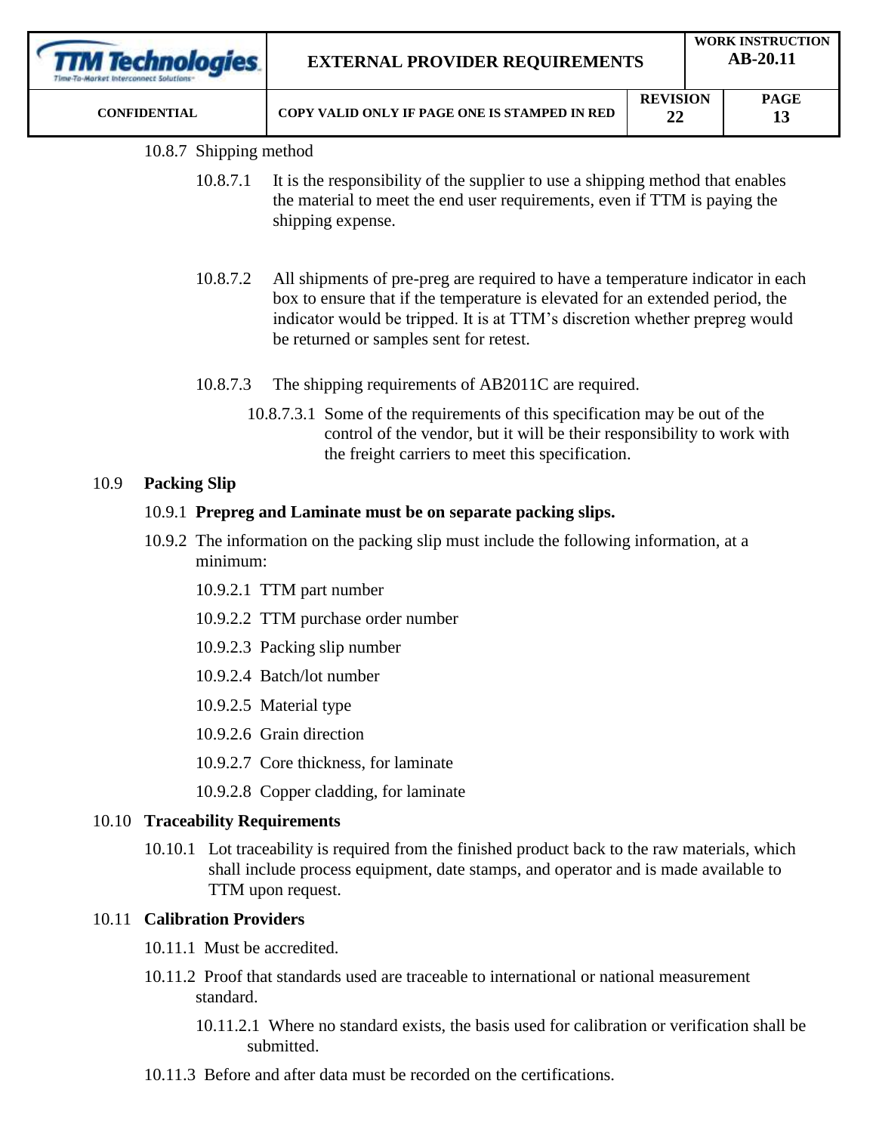|      | rechnologies.<br><b>CONFIDENTIAL</b> |                                                                                                     | <b>EXTERNAL PROVIDER REQUIREMENTS</b><br>COPY VALID ONLY IF PAGE ONE IS STAMPED IN RED                                                                                                                                                                                                    |  | <b>WORK INSTRUCTION</b><br>AB-20.11<br><b>REVISION</b><br><b>PAGE</b><br>22<br>13 |  |  |
|------|--------------------------------------|-----------------------------------------------------------------------------------------------------|-------------------------------------------------------------------------------------------------------------------------------------------------------------------------------------------------------------------------------------------------------------------------------------------|--|-----------------------------------------------------------------------------------|--|--|
|      |                                      |                                                                                                     |                                                                                                                                                                                                                                                                                           |  |                                                                                   |  |  |
|      |                                      | 10.8.7 Shipping method                                                                              |                                                                                                                                                                                                                                                                                           |  |                                                                                   |  |  |
|      |                                      | 10.8.7.1                                                                                            | It is the responsibility of the supplier to use a shipping method that enables<br>the material to meet the end user requirements, even if TTM is paying the<br>shipping expense.                                                                                                          |  |                                                                                   |  |  |
|      |                                      | 10.8.7.2                                                                                            | All shipments of pre-preg are required to have a temperature indicator in each<br>box to ensure that if the temperature is elevated for an extended period, the<br>indicator would be tripped. It is at TTM's discretion whether prepreg would<br>be returned or samples sent for retest. |  |                                                                                   |  |  |
|      |                                      | 10.8.7.3                                                                                            | The shipping requirements of AB2011C are required.                                                                                                                                                                                                                                        |  |                                                                                   |  |  |
|      |                                      |                                                                                                     | 10.8.7.3.1 Some of the requirements of this specification may be out of the<br>control of the vendor, but it will be their responsibility to work with<br>the freight carriers to meet this specification.                                                                                |  |                                                                                   |  |  |
| 10.9 | <b>Packing Slip</b>                  |                                                                                                     |                                                                                                                                                                                                                                                                                           |  |                                                                                   |  |  |
|      |                                      | 10.9.1 Prepreg and Laminate must be on separate packing slips.                                      |                                                                                                                                                                                                                                                                                           |  |                                                                                   |  |  |
|      |                                      | 10.9.2 The information on the packing slip must include the following information, at a<br>minimum: |                                                                                                                                                                                                                                                                                           |  |                                                                                   |  |  |
|      |                                      | 10.9.2.1 TTM part number                                                                            |                                                                                                                                                                                                                                                                                           |  |                                                                                   |  |  |
|      |                                      | 10.9.2.2 TTM purchase order number                                                                  |                                                                                                                                                                                                                                                                                           |  |                                                                                   |  |  |

- 10.9.2.3 Packing slip number
- 10.9.2.4 Batch/lot number
- 10.9.2.5 Material type
- 10.9.2.6 Grain direction
- 10.9.2.7 Core thickness, for laminate
- 10.9.2.8 Copper cladding, for laminate

### 10.10 **Traceability Requirements**

10.10.1 Lot traceability is required from the finished product back to the raw materials, which shall include process equipment, date stamps, and operator and is made available to TTM upon request.

### 10.11 **Calibration Providers**

- 10.11.1 Must be accredited.
- 10.11.2 Proof that standards used are traceable to international or national measurement standard.
	- 10.11.2.1 Where no standard exists, the basis used for calibration or verification shall be submitted.
- 10.11.3 Before and after data must be recorded on the certifications.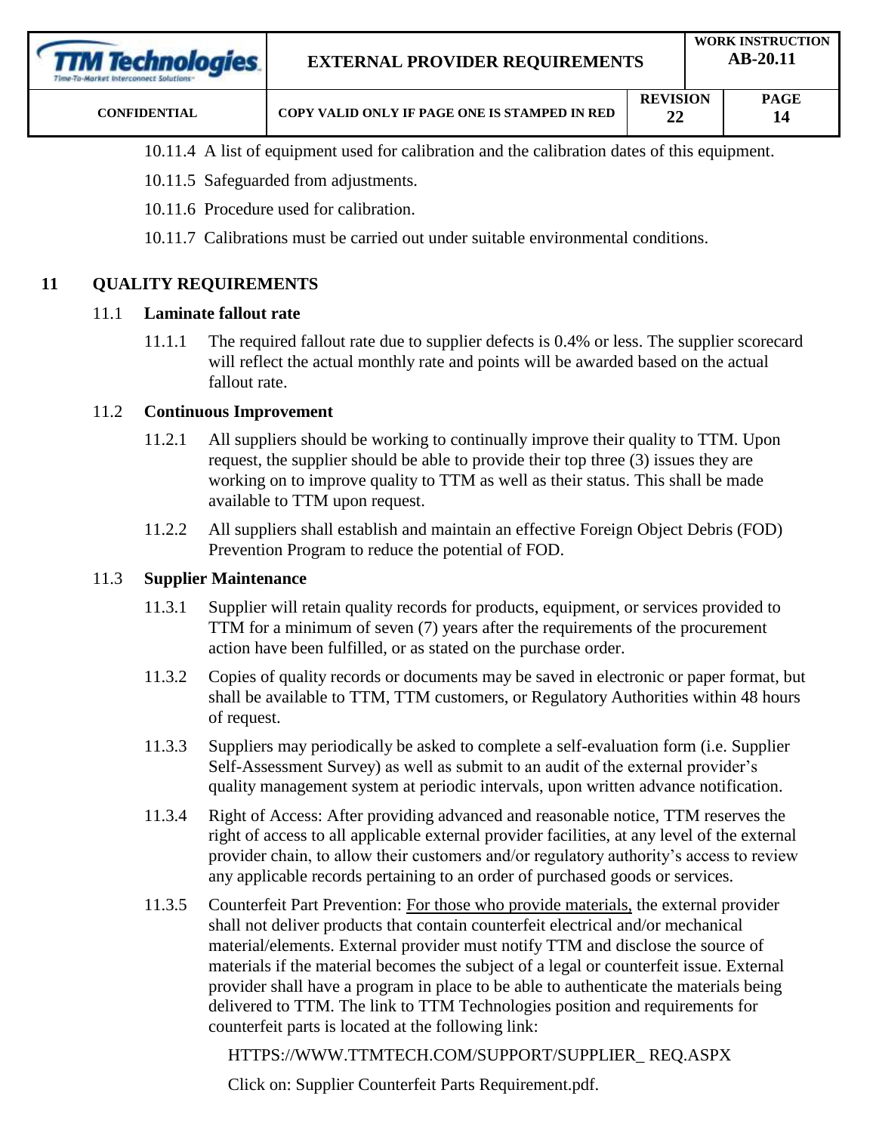| <b>TTM Technologies</b><br>Time-To-Market Interconnect Solutions | <b>EXTERNAL PROVIDER REQUIREMENTS</b>         |                       |  | <b>WORK INSTRUCTION</b><br>$AB-20.11$ |  |
|------------------------------------------------------------------|-----------------------------------------------|-----------------------|--|---------------------------------------|--|
| <b>CONFIDENTIAL</b>                                              | COPY VALID ONLY IF PAGE ONE IS STAMPED IN RED | <b>REVISION</b><br>22 |  | <b>PAGE</b><br>14                     |  |

- 10.11.4 A list of equipment used for calibration and the calibration dates of this equipment.
- 10.11.5 Safeguarded from adjustments.
- 10.11.6 Procedure used for calibration.
- 10.11.7 Calibrations must be carried out under suitable environmental conditions.

### **11 QUALITY REQUIREMENTS**

#### 11.1 **Laminate fallout rate**

11.1.1 The required fallout rate due to supplier defects is 0.4% or less. The supplier scorecard will reflect the actual monthly rate and points will be awarded based on the actual fallout rate.

### 11.2 **Continuous Improvement**

- 11.2.1 All suppliers should be working to continually improve their quality to TTM. Upon request, the supplier should be able to provide their top three (3) issues they are working on to improve quality to TTM as well as their status. This shall be made available to TTM upon request.
- 11.2.2 All suppliers shall establish and maintain an effective Foreign Object Debris (FOD) Prevention Program to reduce the potential of FOD.

### 11.3 **Supplier Maintenance**

- 11.3.1 Supplier will retain quality records for products, equipment, or services provided to TTM for a minimum of seven (7) years after the requirements of the procurement action have been fulfilled, or as stated on the purchase order.
- 11.3.2 Copies of quality records or documents may be saved in electronic or paper format, but shall be available to TTM, TTM customers, or Regulatory Authorities within 48 hours of request.
- 11.3.3 Suppliers may periodically be asked to complete a self-evaluation form (i.e. Supplier Self-Assessment Survey) as well as submit to an audit of the external provider's quality management system at periodic intervals, upon written advance notification.
- 11.3.4 Right of Access: After providing advanced and reasonable notice, TTM reserves the right of access to all applicable external provider facilities, at any level of the external provider chain, to allow their customers and/or regulatory authority's access to review any applicable records pertaining to an order of purchased goods or services.
- 11.3.5 Counterfeit Part Prevention: For those who provide materials, the external provider shall not deliver products that contain counterfeit electrical and/or mechanical material/elements. External provider must notify TTM and disclose the source of materials if the material becomes the subject of a legal or counterfeit issue. External provider shall have a program in place to be able to authenticate the materials being delivered to TTM. The link to TTM Technologies position and requirements for counterfeit parts is located at the following link:

HTTPS://WWW.TTMTECH.COM/SUPPORT/SUPPLIER\_ REQ.ASPX

Click on: Supplier Counterfeit Parts Requirement.pdf.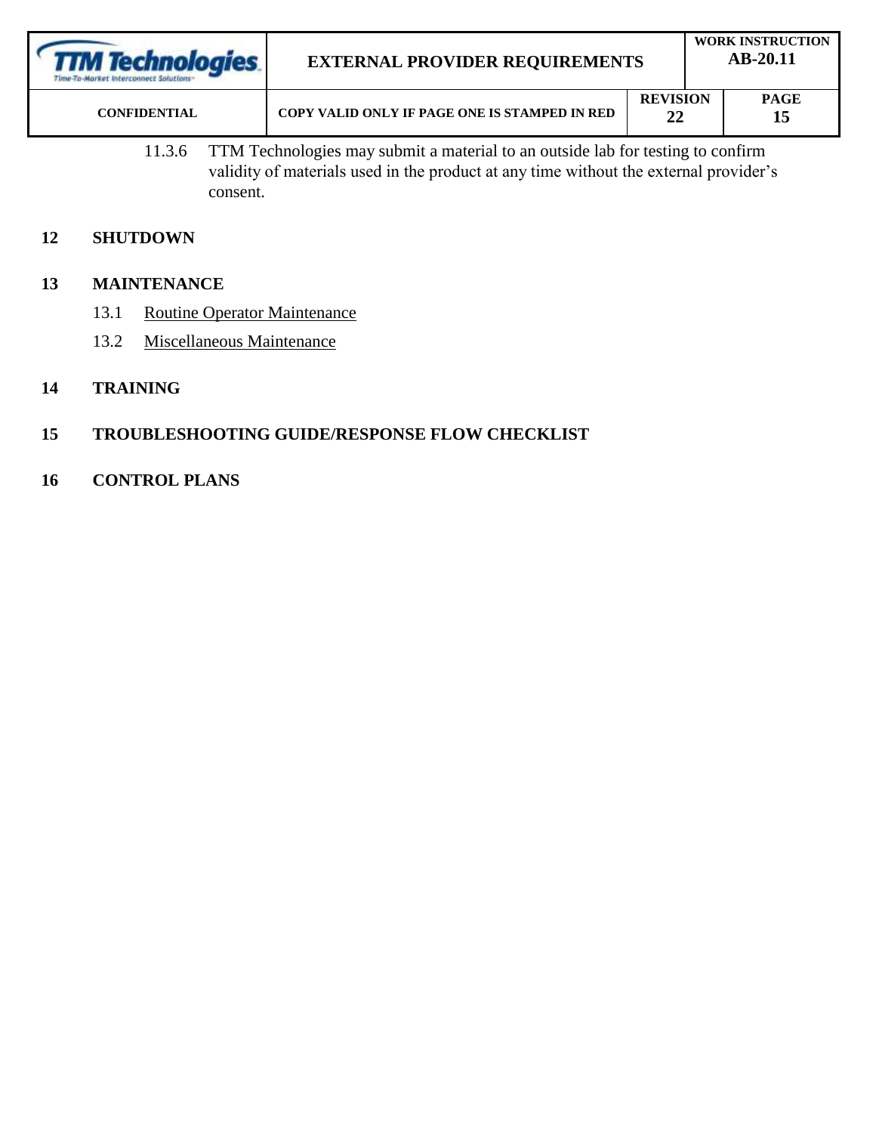| <b>TTM Technologies</b><br>Time-To-Market Interconnect Solutions: | <b>EXTERNAL PROVIDER REQUIREMENTS</b>         | <b>WORK INSTRUCTION</b><br>$AB-20.11$ |                   |  |
|-------------------------------------------------------------------|-----------------------------------------------|---------------------------------------|-------------------|--|
| <b>CONFIDENTIAL</b>                                               | COPY VALID ONLY IF PAGE ONE IS STAMPED IN RED | <b>REVISION</b><br>22                 | <b>PAGE</b><br>15 |  |

11.3.6 TTM Technologies may submit a material to an outside lab for testing to confirm validity of materials used in the product at any time without the external provider's consent.

# **12 SHUTDOWN**

### **13 MAINTENANCE**

- 13.1 Routine Operator Maintenance
- 13.2 Miscellaneous Maintenance
- **14 TRAINING**

# **15 TROUBLESHOOTING GUIDE/RESPONSE FLOW CHECKLIST**

**16 CONTROL PLANS**